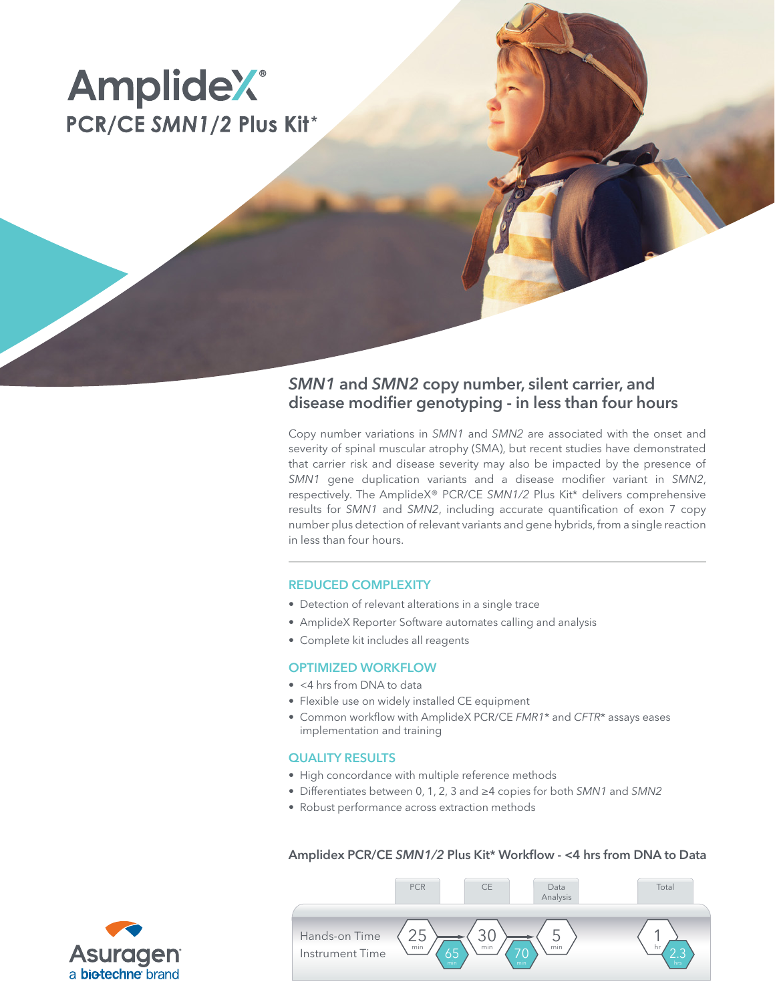# **AmplideX**® PCR/CE SMN1/2 Plus Kit\*

# *SMN1* and *SMN2* copy number, silent carrier, and disease modifier genotyping - in less than four hours

Copy number variations in *SMN1* and *SMN2* are associated with the onset and severity of spinal muscular atrophy (SMA), but recent studies have demonstrated that carrier risk and disease severity may also be impacted by the presence of *SMN1* gene duplication variants and a disease modifier variant in *SMN2*, respectively. The AmplideX® PCR/CE *SMN1/2* Plus Kit\* delivers comprehensive results for *SMN1* and *SMN2*, including accurate quantification of exon 7 copy number plus detection of relevant variants and gene hybrids, from a single reaction in less than four hours.

# REDUCED COMPLEXITY

- Detection of relevant alterations in a single trace
- AmplideX Reporter Software automates calling and analysis
- Complete kit includes all reagents

### OPTIMIZED WORKFLOW

- <4 hrs from DNA to data
- Flexible use on widely installed CE equipment
- Common workflow with AmplideX PCR/CE *FMR1*\* and *CFTR*\* assays eases implementation and training

### QUALITY RESULTS

- High concordance with multiple reference methods
- Differentiates between 0, 1, 2, 3 and ≥4 copies for both *SMN1* and *SMN2*
- Robust performance across extraction methods

## Amplidex PCR/CE *SMN1/2* Plus Kit\* Workflow - <4 hrs from DNA to Data